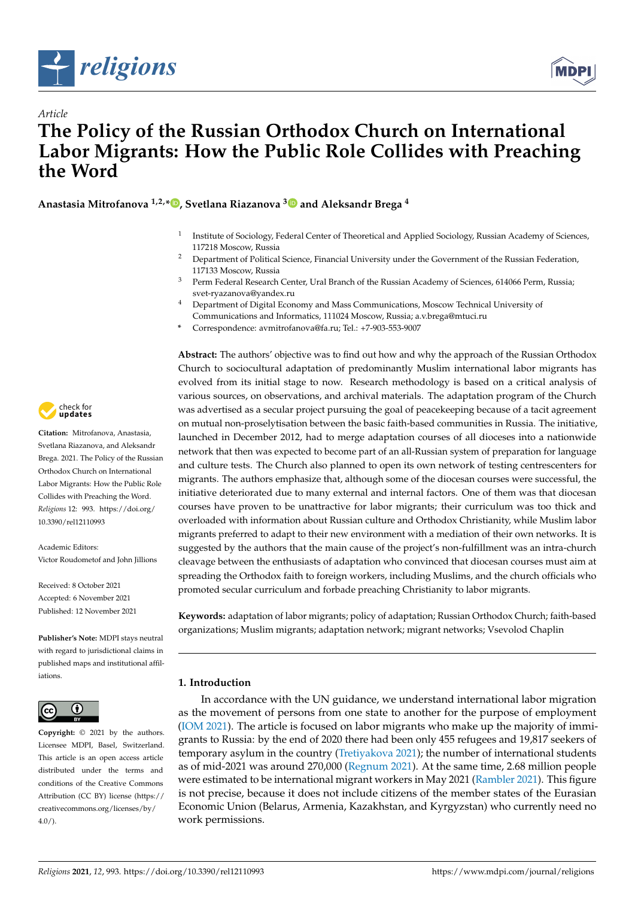



# *Article* **The Policy of the Russian Orthodox Church on International Labor Migrants: How the Public Role Collides with Preaching the Word**

**Anastasia Mitrofanova 1,2,\* [,](https://orcid.org/0000-0003-4123-0550) Svetlana Riazanova [3](https://orcid.org/0000-0001-5387-9387) and Aleksandr Brega <sup>4</sup>**

- 1 Institute of Sociology, Federal Center of Theoretical and Applied Sociology, Russian Academy of Sciences, 117218 Moscow, Russia
- <sup>2</sup> Department of Political Science, Financial University under the Government of the Russian Federation, 117133 Moscow, Russia
- <sup>3</sup> Perm Federal Research Center, Ural Branch of the Russian Academy of Sciences, 614066 Perm, Russia; svet-ryazanova@yandex.ru
- <sup>4</sup> Department of Digital Economy and Mass Communications, Moscow Technical University of Communications and Informatics, 111024 Moscow, Russia; a.v.brega@mtuci.ru
- **\*** Correspondence: avmitrofanova@fa.ru; Tel.: +7-903-553-9007

**Abstract:** The authors' objective was to find out how and why the approach of the Russian Orthodox Church to sociocultural adaptation of predominantly Muslim international labor migrants has evolved from its initial stage to now. Research methodology is based on a critical analysis of various sources, on observations, and archival materials. The adaptation program of the Church was advertised as a secular project pursuing the goal of peacekeeping because of a tacit agreement on mutual non-proselytisation between the basic faith-based communities in Russia. The initiative, launched in December 2012, had to merge adaptation courses of all dioceses into a nationwide network that then was expected to become part of an all-Russian system of preparation for language and culture tests. The Church also planned to open its own network of testing centrescenters for migrants. The authors emphasize that, although some of the diocesan courses were successful, the initiative deteriorated due to many external and internal factors. One of them was that diocesan courses have proven to be unattractive for labor migrants; their curriculum was too thick and overloaded with information about Russian culture and Orthodox Christianity, while Muslim labor migrants preferred to adapt to their new environment with a mediation of their own networks. It is suggested by the authors that the main cause of the project's non-fulfillment was an intra-church cleavage between the enthusiasts of adaptation who convinced that diocesan courses must aim at spreading the Orthodox faith to foreign workers, including Muslims, and the church officials who promoted secular curriculum and forbade preaching Christianity to labor migrants.

**Keywords:** adaptation of labor migrants; policy of adaptation; Russian Orthodox Church; faith-based organizations; Muslim migrants; adaptation network; migrant networks; Vsevolod Chaplin

## **1. Introduction**

In accordance with the UN guidance, we understand international labor migration as the movement of persons from one state to another for the purpose of employment [\(IOM](#page-11-0) [2021\)](#page-11-0). The article is focused on labor migrants who make up the majority of immigrants to Russia: by the end of 2020 there had been only 455 refugees and 19,817 seekers of temporary asylum in the country [\(Tretiyakova](#page-13-0) [2021\)](#page-13-0); the number of international students as of mid-2021 was around 270,000 [\(Regnum](#page-12-0) [2021\)](#page-12-0). At the same time, 2.68 million people were estimated to be international migrant workers in May 2021 [\(Rambler](#page-12-1) [2021\)](#page-12-1). This figure is not precise, because it does not include citizens of the member states of the Eurasian Economic Union (Belarus, Armenia, Kazakhstan, and Kyrgyzstan) who currently need no work permissions.



**Citation:** Mitrofanova, Anastasia, Svetlana Riazanova, and Aleksandr Brega. 2021. The Policy of the Russian Orthodox Church on International Labor Migrants: How the Public Role Collides with Preaching the Word. *Religions* 12: 993. [https://doi.org/](https://doi.org/10.3390/rel12110993) [10.3390/rel12110993](https://doi.org/10.3390/rel12110993)

Academic Editors: Victor Roudometof and John Jillions

Received: 8 October 2021 Accepted: 6 November 2021 Published: 12 November 2021

**Publisher's Note:** MDPI stays neutral with regard to jurisdictional claims in published maps and institutional affiliations.



**Copyright:** © 2021 by the authors. Licensee MDPI, Basel, Switzerland. This article is an open access article distributed under the terms and conditions of the Creative Commons Attribution (CC BY) license (https:/[/](https://creativecommons.org/licenses/by/4.0/) [creativecommons.org/licenses/by/](https://creativecommons.org/licenses/by/4.0/)  $4.0/$ ).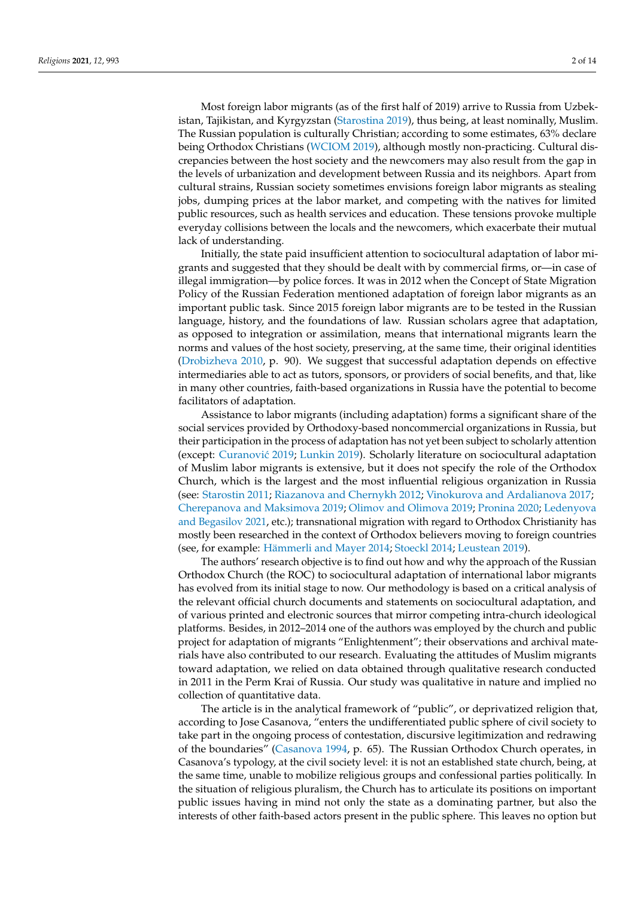Most foreign labor migrants (as of the first half of 2019) arrive to Russia from Uzbekistan, Tajikistan, and Kyrgyzstan [\(Starostina](#page-13-1) [2019\)](#page-13-1), thus being, at least nominally, Muslim. The Russian population is culturally Christian; according to some estimates, 63% declare being Orthodox Christians [\(WCIOM](#page-13-2) [2019\)](#page-13-2), although mostly non-practicing. Cultural discrepancies between the host society and the newcomers may also result from the gap in the levels of urbanization and development between Russia and its neighbors. Apart from cultural strains, Russian society sometimes envisions foreign labor migrants as stealing jobs, dumping prices at the labor market, and competing with the natives for limited public resources, such as health services and education. These tensions provoke multiple everyday collisions between the locals and the newcomers, which exacerbate their mutual lack of understanding.

Initially, the state paid insufficient attention to sociocultural adaptation of labor migrants and suggested that they should be dealt with by commercial firms, or—in case of illegal immigration—by police forces. It was in 2012 when the Concept of State Migration Policy of the Russian Federation mentioned adaptation of foreign labor migrants as an important public task. Since 2015 foreign labor migrants are to be tested in the Russian language, history, and the foundations of law. Russian scholars agree that adaptation, as opposed to integration or assimilation, means that international migrants learn the norms and values of the host society, preserving, at the same time, their original identities [\(Drobizheva](#page-10-0) [2010,](#page-10-0) p. 90). We suggest that successful adaptation depends on effective intermediaries able to act as tutors, sponsors, or providers of social benefits, and that, like in many other countries, faith-based organizations in Russia have the potential to become facilitators of adaptation.

Assistance to labor migrants (including adaptation) forms a significant share of the social services provided by Orthodoxy-based noncommercial organizations in Russia, but their participation in the process of adaptation has not yet been subject to scholarly attention (except: Curanović [2019;](#page-10-1) [Lunkin](#page-11-1) [2019\)](#page-11-1). Scholarly literature on sociocultural adaptation of Muslim labor migrants is extensive, but it does not specify the role of the Orthodox Church, which is the largest and the most influential religious organization in Russia (see: [Starostin](#page-13-3) [2011;](#page-13-3) [Riazanova and Chernykh](#page-13-4) [2012;](#page-13-4) [Vinokurova and Ardalianova](#page-13-5) [2017;](#page-13-5) [Cherepanova and Maksimova](#page-10-2) [2019;](#page-10-2) [Olimov and Olimova](#page-12-2) [2019;](#page-12-2) [Pronina](#page-12-3) [2020;](#page-12-3) [Ledenyova](#page-11-2) [and Begasilov](#page-11-2) [2021,](#page-11-2) etc.); transnational migration with regard to Orthodox Christianity has mostly been researched in the context of Orthodox believers moving to foreign countries (see, for example: [Hämmerli and Mayer](#page-11-3) [2014;](#page-11-3) [Stoeckl](#page-13-6) [2014;](#page-13-6) [Leustean](#page-11-4) [2019\)](#page-11-4).

The authors' research objective is to find out how and why the approach of the Russian Orthodox Church (the ROC) to sociocultural adaptation of international labor migrants has evolved from its initial stage to now. Our methodology is based on a critical analysis of the relevant official church documents and statements on sociocultural adaptation, and of various printed and electronic sources that mirror competing intra-church ideological platforms. Besides, in 2012–2014 one of the authors was employed by the church and public project for adaptation of migrants "Enlightenment"; their observations and archival materials have also contributed to our research. Evaluating the attitudes of Muslim migrants toward adaptation, we relied on data obtained through qualitative research conducted in 2011 in the Perm Krai of Russia. Our study was qualitative in nature and implied no collection of quantitative data.

The article is in the analytical framework of "public", or deprivatized religion that, according to Jose Casanova, "enters the undifferentiated public sphere of civil society to take part in the ongoing process of contestation, discursive legitimization and redrawing of the boundaries" [\(Casanova](#page-10-3) [1994,](#page-10-3) p. 65). The Russian Orthodox Church operates, in Casanova's typology, at the civil society level: it is not an established state church, being, at the same time, unable to mobilize religious groups and confessional parties politically. In the situation of religious pluralism, the Church has to articulate its positions on important public issues having in mind not only the state as a dominating partner, but also the interests of other faith-based actors present in the public sphere. This leaves no option but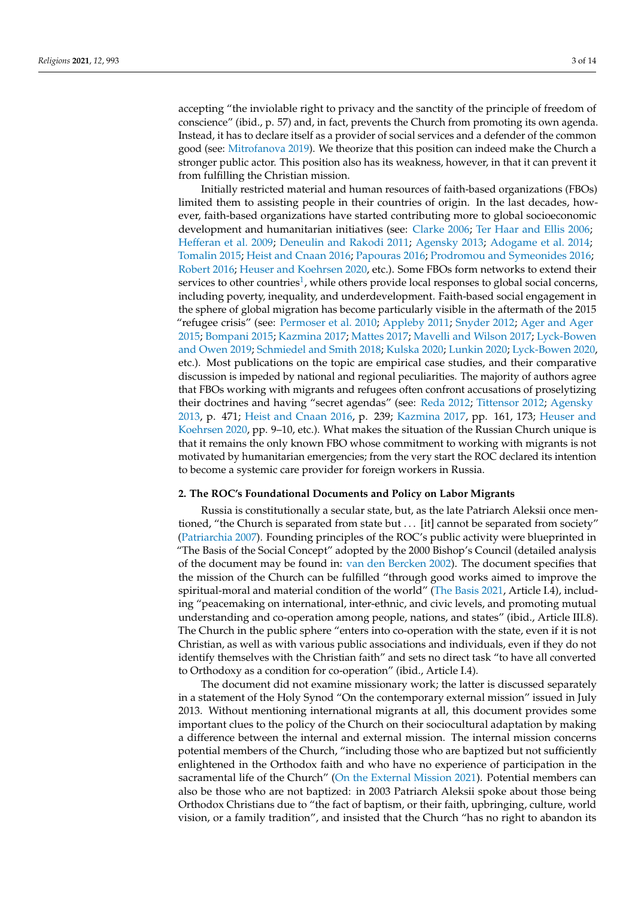accepting "the inviolable right to privacy and the sanctity of the principle of freedom of conscience" (ibid., p. 57) and, in fact, prevents the Church from promoting its own agenda. Instead, it has to declare itself as a provider of social services and a defender of the common good (see: [Mitrofanova](#page-11-5) [2019\)](#page-11-5). We theorize that this position can indeed make the Church a stronger public actor. This position also has its weakness, however, in that it can prevent it from fulfilling the Christian mission.

<span id="page-2-0"></span>Initially restricted material and human resources of faith-based organizations (FBOs) limited them to assisting people in their countries of origin. In the last decades, however, faith-based organizations have started contributing more to global socioeconomic development and humanitarian initiatives (see: [Clarke](#page-10-4) [2006;](#page-10-4) [Ter Haar and Ellis](#page-13-7) [2006;](#page-13-7) [Hefferan et al.](#page-11-6) [2009;](#page-11-6) [Deneulin and Rakodi](#page-10-5) [2011;](#page-10-5) [Agensky](#page-10-6) [2013;](#page-10-6) [Adogame et al.](#page-10-7) [2014;](#page-10-7) [Tomalin](#page-13-8) [2015;](#page-13-8) [Heist and Cnaan](#page-11-7) [2016;](#page-11-7) [Papouras](#page-12-4) [2016;](#page-12-4) [Prodromou and Symeonides](#page-12-5) [2016;](#page-12-5) [Robert](#page-13-9) [2016;](#page-13-9) [Heuser and Koehrsen](#page-11-8) [2020,](#page-11-8) etc.). Some FBOs form networks to extend their services to other countries<sup>[1](#page-10-8)</sup>, while others provide local responses to global social concerns, including poverty, inequality, and underdevelopment. Faith-based social engagement in the sphere of global migration has become particularly visible in the aftermath of the 2015 "refugee crisis" (see: [Permoser et al.](#page-12-6) [2010;](#page-12-6) [Appleby](#page-10-9) [2011;](#page-10-9) [Snyder](#page-13-10) [2012;](#page-13-10) [Ager and Ager](#page-10-10) [2015;](#page-10-10) [Bompani](#page-10-11) [2015;](#page-10-11) [Kazmina](#page-11-9) [2017;](#page-11-9) [Mattes](#page-11-10) [2017;](#page-11-10) [Mavelli and Wilson](#page-11-11) [2017;](#page-11-11) [Lyck-Bowen](#page-11-12) [and Owen](#page-11-12) [2019;](#page-11-12) [Schmiedel and Smith](#page-13-11) [2018;](#page-13-11) [Kulska](#page-11-13) [2020;](#page-11-13) [Lunkin](#page-11-14) [2020;](#page-11-14) [Lyck-Bowen](#page-11-15) [2020,](#page-11-15) etc.). Most publications on the topic are empirical case studies, and their comparative discussion is impeded by national and regional peculiarities. The majority of authors agree that FBOs working with migrants and refugees often confront accusations of proselytizing their doctrines and having "secret agendas" (see: [Reda](#page-12-7) [2012;](#page-12-7) [Tittensor](#page-13-12) [2012;](#page-13-12) [Agensky](#page-10-6) [2013,](#page-10-6) p. 471; [Heist and Cnaan](#page-11-7) [2016,](#page-11-7) p. 239; [Kazmina](#page-11-9) [2017,](#page-11-9) pp. 161, 173; [Heuser and](#page-11-8) [Koehrsen](#page-11-8) [2020,](#page-11-8) pp. 9–10, etc.). What makes the situation of the Russian Church unique is that it remains the only known FBO whose commitment to working with migrants is not motivated by humanitarian emergencies; from the very start the ROC declared its intention to become a systemic care provider for foreign workers in Russia.

#### **2. The ROC's Foundational Documents and Policy on Labor Migrants**

Russia is constitutionally a secular state, but, as the late Patriarch Aleksii once mentioned, "the Church is separated from state but . . . [it] cannot be separated from society" [\(Patriarchia](#page-12-8) [2007\)](#page-12-8). Founding principles of the ROC's public activity were blueprinted in "The Basis of the Social Concept" adopted by the 2000 Bishop's Council (detailed analysis of the document may be found in: [van den Bercken](#page-13-13) [2002\)](#page-13-13). The document specifies that the mission of the Church can be fulfilled "through good works aimed to improve the spiritual-moral and material condition of the world" [\(The Basis](#page-13-14) [2021,](#page-13-14) Article I.4), including "peacemaking on international, inter-ethnic, and civic levels, and promoting mutual understanding and co-operation among people, nations, and states" (ibid., Article III.8). The Church in the public sphere "enters into co-operation with the state, even if it is not Christian, as well as with various public associations and individuals, even if they do not identify themselves with the Christian faith" and sets no direct task "to have all converted to Orthodoxy as a condition for co-operation" (ibid., Article I.4).

The document did not examine missionary work; the latter is discussed separately in a statement of the Holy Synod "On the contemporary external mission" issued in July 2013. Without mentioning international migrants at all, this document provides some important clues to the policy of the Church on their sociocultural adaptation by making a difference between the internal and external mission. The internal mission concerns potential members of the Church, "including those who are baptized but not sufficiently enlightened in the Orthodox faith and who have no experience of participation in the sacramental life of the Church" [\(On the External Mission](#page-12-9) [2021\)](#page-12-9). Potential members can also be those who are not baptized: in 2003 Patriarch Aleksii spoke about those being Orthodox Christians due to "the fact of baptism, or their faith, upbringing, culture, world vision, or a family tradition", and insisted that the Church "has no right to abandon its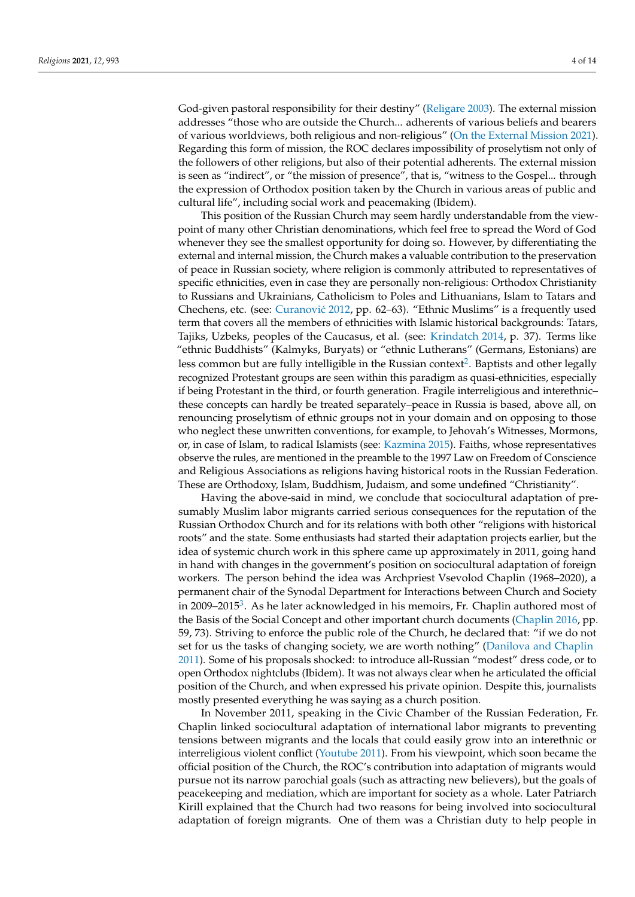God-given pastoral responsibility for their destiny" [\(Religare](#page-12-10) [2003\)](#page-12-10). The external mission addresses "those who are outside the Church... adherents of various beliefs and bearers of various worldviews, both religious and non-religious" [\(On the External Mission](#page-12-9) [2021\)](#page-12-9). Regarding this form of mission, the ROC declares impossibility of proselytism not only of the followers of other religions, but also of their potential adherents. The external mission is seen as "indirect", or "the mission of presence", that is, "witness to the Gospel... through the expression of Orthodox position taken by the Church in various areas of public and cultural life", including social work and peacemaking (Ibidem).

This position of the Russian Church may seem hardly understandable from the viewpoint of many other Christian denominations, which feel free to spread the Word of God whenever they see the smallest opportunity for doing so. However, by differentiating the external and internal mission, the Church makes a valuable contribution to the preservation of peace in Russian society, where religion is commonly attributed to representatives of specific ethnicities, even in case they are personally non-religious: Orthodox Christianity to Russians and Ukrainians, Catholicism to Poles and Lithuanians, Islam to Tatars and Chechens, etc. (see: Curanović [2012,](#page-10-12) pp. 62–63). "Ethnic Muslims" is a frequently used term that covers all the members of ethnicities with Islamic historical backgrounds: Tatars, Tajiks, Uzbeks, peoples of the Caucasus, et al. (see: [Krindatch](#page-11-16) [2014,](#page-11-16) p. 37). Terms like "ethnic Buddhists" (Kalmyks, Buryats) or "ethnic Lutherans" (Germans, Estonians) are less common but are fully intelligible in the Russian context $^2$  $^2$ . Baptists and other legally recognized Protestant groups are seen within this paradigm as quasi-ethnicities, especially if being Protestant in the third, or fourth generation. Fragile interreligious and interethnic– these concepts can hardly be treated separately–peace in Russia is based, above all, on renouncing proselytism of ethnic groups not in your domain and on opposing to those who neglect these unwritten conventions, for example, to Jehovah's Witnesses, Mormons, or, in case of Islam, to radical Islamists (see: [Kazmina](#page-11-17) [2015\)](#page-11-17). Faiths, whose representatives observe the rules, are mentioned in the preamble to the 1997 Law on Freedom of Conscience and Religious Associations as religions having historical roots in the Russian Federation. These are Orthodoxy, Islam, Buddhism, Judaism, and some undefined "Christianity".

<span id="page-3-1"></span><span id="page-3-0"></span>Having the above-said in mind, we conclude that sociocultural adaptation of presumably Muslim labor migrants carried serious consequences for the reputation of the Russian Orthodox Church and for its relations with both other "religions with historical roots" and the state. Some enthusiasts had started their adaptation projects earlier, but the idea of systemic church work in this sphere came up approximately in 2011, going hand in hand with changes in the government's position on sociocultural adaptation of foreign workers. The person behind the idea was Archpriest Vsevolod Chaplin (1968–2020), a permanent chair of the Synodal Department for Interactions between Church and Society in 2009–2015<sup>[3](#page-10-14)</sup>. As he later acknowledged in his memoirs, Fr. Chaplin authored most of the Basis of the Social Concept and other important church documents [\(Chaplin](#page-10-15) [2016,](#page-10-15) pp. 59, 73). Striving to enforce the public role of the Church, he declared that: "if we do not set for us the tasks of changing society, we are worth nothing" [\(Danilova and Chaplin](#page-10-16) [2011\)](#page-10-16). Some of his proposals shocked: to introduce all-Russian "modest" dress code, or to open Orthodox nightclubs (Ibidem). It was not always clear when he articulated the official position of the Church, and when expressed his private opinion. Despite this, journalists mostly presented everything he was saying as a church position.

In November 2011, speaking in the Civic Chamber of the Russian Federation, Fr. Chaplin linked sociocultural adaptation of international labor migrants to preventing tensions between migrants and the locals that could easily grow into an interethnic or interreligious violent conflict [\(Youtube](#page-13-15) [2011\)](#page-13-15). From his viewpoint, which soon became the official position of the Church, the ROC's contribution into adaptation of migrants would pursue not its narrow parochial goals (such as attracting new believers), but the goals of peacekeeping and mediation, which are important for society as a whole. Later Patriarch Kirill explained that the Church had two reasons for being involved into sociocultural adaptation of foreign migrants. One of them was a Christian duty to help people in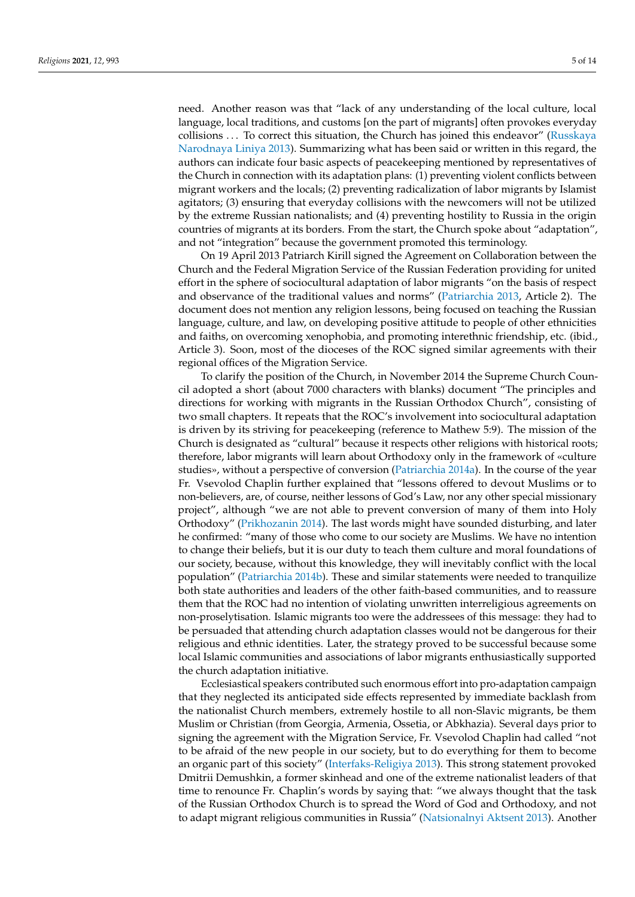need. Another reason was that "lack of any understanding of the local culture, local language, local traditions, and customs [on the part of migrants] often provokes everyday collisions . . . To correct this situation, the Church has joined this endeavor" [\(Russkaya](#page-13-16) [Narodnaya Liniya](#page-13-16) [2013\)](#page-13-16). Summarizing what has been said or written in this regard, the authors can indicate four basic aspects of peacekeeping mentioned by representatives of the Church in connection with its adaptation plans: (1) preventing violent conflicts between migrant workers and the locals; (2) preventing radicalization of labor migrants by Islamist agitators; (3) ensuring that everyday collisions with the newcomers will not be utilized by the extreme Russian nationalists; and (4) preventing hostility to Russia in the origin countries of migrants at its borders. From the start, the Church spoke about "adaptation", and not "integration" because the government promoted this terminology.

On 19 April 2013 Patriarch Kirill signed the Agreement on Collaboration between the Church and the Federal Migration Service of the Russian Federation providing for united effort in the sphere of sociocultural adaptation of labor migrants "on the basis of respect and observance of the traditional values and norms" [\(Patriarchia](#page-12-11) [2013,](#page-12-11) Article 2). The document does not mention any religion lessons, being focused on teaching the Russian language, culture, and law, on developing positive attitude to people of other ethnicities and faiths, on overcoming xenophobia, and promoting interethnic friendship, etc. (ibid., Article 3). Soon, most of the dioceses of the ROC signed similar agreements with their regional offices of the Migration Service.

To clarify the position of the Church, in November 2014 the Supreme Church Council adopted a short (about 7000 characters with blanks) document "The principles and directions for working with migrants in the Russian Orthodox Church", consisting of two small chapters. It repeats that the ROC's involvement into sociocultural adaptation is driven by its striving for peacekeeping (reference to Mathew 5:9). The mission of the Church is designated as "cultural" because it respects other religions with historical roots; therefore, labor migrants will learn about Orthodoxy only in the framework of «culture studies», without a perspective of conversion [\(Patriarchia](#page-12-12) [2014a\)](#page-12-12). In the course of the year Fr. Vsevolod Chaplin further explained that "lessons offered to devout Muslims or to non-believers, are, of course, neither lessons of God's Law, nor any other special missionary project", although "we are not able to prevent conversion of many of them into Holy Orthodoxy" [\(Prikhozanin](#page-12-13) [2014\)](#page-12-13). The last words might have sounded disturbing, and later he confirmed: "many of those who come to our society are Muslims. We have no intention to change their beliefs, but it is our duty to teach them culture and moral foundations of our society, because, without this knowledge, they will inevitably conflict with the local population" [\(Patriarchia](#page-12-14) [2014b\)](#page-12-14). These and similar statements were needed to tranquilize both state authorities and leaders of the other faith-based communities, and to reassure them that the ROC had no intention of violating unwritten interreligious agreements on non-proselytisation. Islamic migrants too were the addressees of this message: they had to be persuaded that attending church adaptation classes would not be dangerous for their religious and ethnic identities. Later, the strategy proved to be successful because some local Islamic communities and associations of labor migrants enthusiastically supported the church adaptation initiative.

Ecclesiastical speakers contributed such enormous effort into pro-adaptation campaign that they neglected its anticipated side effects represented by immediate backlash from the nationalist Church members, extremely hostile to all non-Slavic migrants, be them Muslim or Christian (from Georgia, Armenia, Ossetia, or Abkhazia). Several days prior to signing the agreement with the Migration Service, Fr. Vsevolod Chaplin had called "not to be afraid of the new people in our society, but to do everything for them to become an organic part of this society" [\(Interfaks-Religiya](#page-11-18) [2013\)](#page-11-18). This strong statement provoked Dmitrii Demushkin, a former skinhead and one of the extreme nationalist leaders of that time to renounce Fr. Chaplin's words by saying that: "we always thought that the task of the Russian Orthodox Church is to spread the Word of God and Orthodoxy, and not to adapt migrant religious communities in Russia" [\(Natsionalnyi Aktsent](#page-11-19) [2013\)](#page-11-19). Another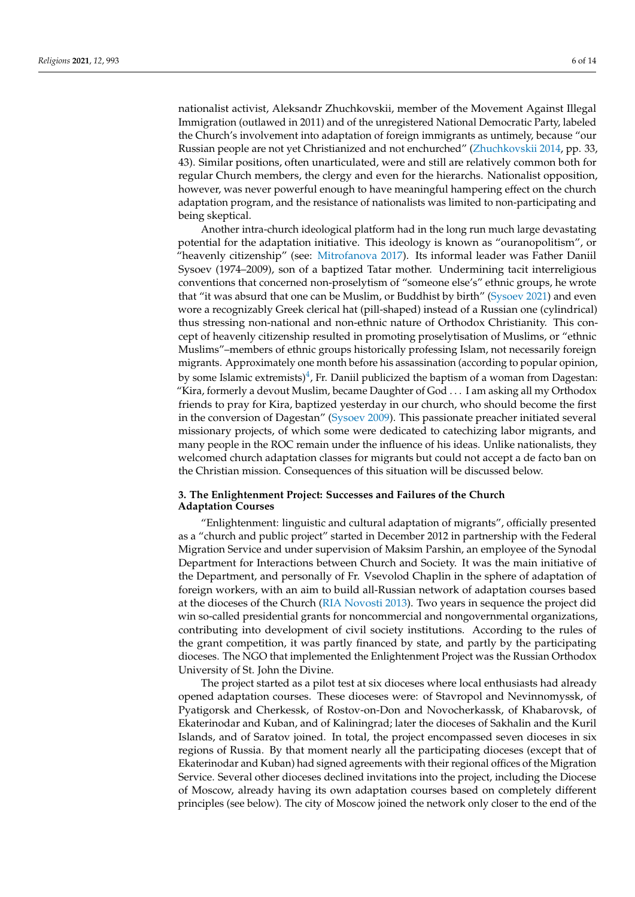nationalist activist, Aleksandr Zhuchkovskii, member of the Movement Against Illegal Immigration (outlawed in 2011) and of the unregistered National Democratic Party, labeled the Church's involvement into adaptation of foreign immigrants as untimely, because "our Russian people are not yet Christianized and not enchurched" [\(Zhuchkovskii](#page-13-17) [2014,](#page-13-17) pp. 33, 43). Similar positions, often unarticulated, were and still are relatively common both for regular Church members, the clergy and even for the hierarchs. Nationalist opposition, however, was never powerful enough to have meaningful hampering effect on the church adaptation program, and the resistance of nationalists was limited to non-participating and being skeptical.

Another intra-church ideological platform had in the long run much large devastating potential for the adaptation initiative. This ideology is known as "ouranopolitism", or "heavenly citizenship" (see: [Mitrofanova](#page-11-20) [2017\)](#page-11-20). Its informal leader was Father Daniil Sysoev (1974–2009), son of a baptized Tatar mother. Undermining tacit interreligious conventions that concerned non-proselytism of "someone else's" ethnic groups, he wrote that "it was absurd that one can be Muslim, or Buddhist by birth" [\(Sysoev](#page-13-18) [2021\)](#page-13-18) and even wore a recognizably Greek clerical hat (pill-shaped) instead of a Russian one (cylindrical) thus stressing non-national and non-ethnic nature of Orthodox Christianity. This concept of heavenly citizenship resulted in promoting proselytisation of Muslims, or "ethnic Muslims"–members of ethnic groups historically professing Islam, not necessarily foreign migrants. Approximately one month before his assassination (according to popular opinion, by some Islamic extremists) $^4$  $^4$ , Fr. Daniil publicized the baptism of a woman from Dagestan: "Kira, formerly a devout Muslim, became Daughter of God . . . I am asking all my Orthodox friends to pray for Kira, baptized yesterday in our church, who should become the first in the conversion of Dagestan" [\(Sysoev](#page-13-19) [2009\)](#page-13-19). This passionate preacher initiated several missionary projects, of which some were dedicated to catechizing labor migrants, and many people in the ROC remain under the influence of his ideas. Unlike nationalists, they welcomed church adaptation classes for migrants but could not accept a de facto ban on the Christian mission. Consequences of this situation will be discussed below.

## <span id="page-5-0"></span>**3. The Enlightenment Project: Successes and Failures of the Church Adaptation Courses**

"Enlightenment: linguistic and cultural adaptation of migrants", officially presented as a "church and public project" started in December 2012 in partnership with the Federal Migration Service and under supervision of Maksim Parshin, an employee of the Synodal Department for Interactions between Church and Society. It was the main initiative of the Department, and personally of Fr. Vsevolod Chaplin in the sphere of adaptation of foreign workers, with an aim to build all-Russian network of adaptation courses based at the dioceses of the Church [\(RIA Novosti](#page-12-15) [2013\)](#page-12-15). Two years in sequence the project did win so-called presidential grants for noncommercial and nongovernmental organizations, contributing into development of civil society institutions. According to the rules of the grant competition, it was partly financed by state, and partly by the participating dioceses. The NGO that implemented the Enlightenment Project was the Russian Orthodox University of St. John the Divine.

The project started as a pilot test at six dioceses where local enthusiasts had already opened adaptation courses. These dioceses were: of Stavropol and Nevinnomyssk, of Pyatigorsk and Cherkessk, of Rostov-on-Don and Novocherkassk, of Khabarovsk, of Ekaterinodar and Kuban, and of Kaliningrad; later the dioceses of Sakhalin and the Kuril Islands, and of Saratov joined. In total, the project encompassed seven dioceses in six regions of Russia. By that moment nearly all the participating dioceses (except that of Ekaterinodar and Kuban) had signed agreements with their regional offices of the Migration Service. Several other dioceses declined invitations into the project, including the Diocese of Moscow, already having its own adaptation courses based on completely different principles (see below). The city of Moscow joined the network only closer to the end of the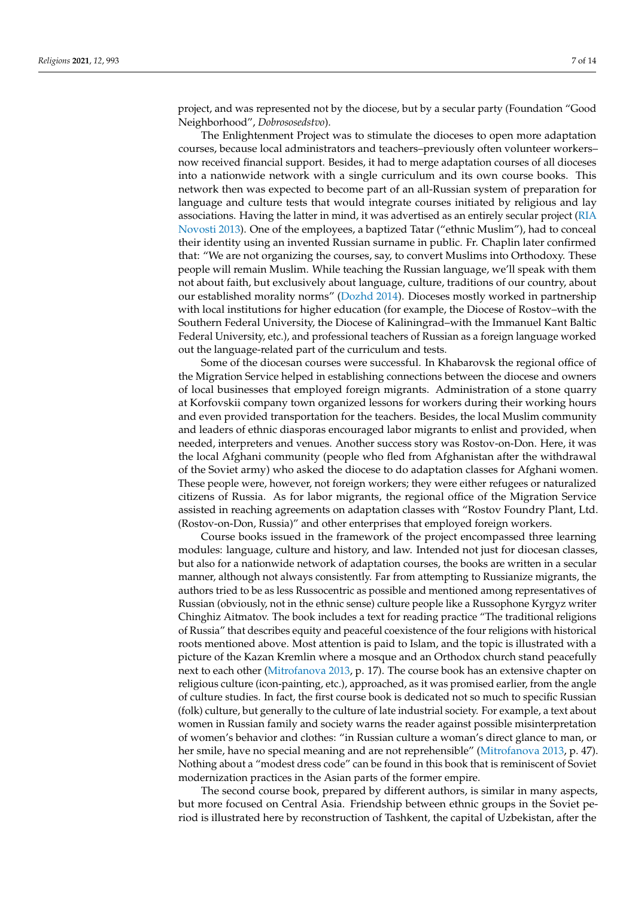project, and was represented not by the diocese, but by a secular party (Foundation "Good Neighborhood", *Dobrososedstvo*).

The Enlightenment Project was to stimulate the dioceses to open more adaptation courses, because local administrators and teachers–previously often volunteer workers– now received financial support. Besides, it had to merge adaptation courses of all dioceses into a nationwide network with a single curriculum and its own course books. This network then was expected to become part of an all-Russian system of preparation for language and culture tests that would integrate courses initiated by religious and lay associations. Having the latter in mind, it was advertised as an entirely secular project [\(RIA](#page-12-15) [Novosti](#page-12-15) [2013\)](#page-12-15). One of the employees, a baptized Tatar ("ethnic Muslim"), had to conceal their identity using an invented Russian surname in public. Fr. Chaplin later confirmed that: "We are not organizing the courses, say, to convert Muslims into Orthodoxy. These people will remain Muslim. While teaching the Russian language, we'll speak with them not about faith, but exclusively about language, culture, traditions of our country, about our established morality norms" [\(Dozhd](#page-10-18) [2014\)](#page-10-18). Dioceses mostly worked in partnership with local institutions for higher education (for example, the Diocese of Rostov–with the Southern Federal University, the Diocese of Kaliningrad–with the Immanuel Kant Baltic Federal University, etc.), and professional teachers of Russian as a foreign language worked out the language-related part of the curriculum and tests.

Some of the diocesan courses were successful. In Khabarovsk the regional office of the Migration Service helped in establishing connections between the diocese and owners of local businesses that employed foreign migrants. Administration of a stone quarry at Korfovskii company town organized lessons for workers during their working hours and even provided transportation for the teachers. Besides, the local Muslim community and leaders of ethnic diasporas encouraged labor migrants to enlist and provided, when needed, interpreters and venues. Another success story was Rostov-on-Don. Here, it was the local Afghani community (people who fled from Afghanistan after the withdrawal of the Soviet army) who asked the diocese to do adaptation classes for Afghani women. These people were, however, not foreign workers; they were either refugees or naturalized citizens of Russia. As for labor migrants, the regional office of the Migration Service assisted in reaching agreements on adaptation classes with "Rostov Foundry Plant, Ltd. (Rostov-on-Don, Russia)" and other enterprises that employed foreign workers.

Course books issued in the framework of the project encompassed three learning modules: language, culture and history, and law. Intended not just for diocesan classes, but also for a nationwide network of adaptation courses, the books are written in a secular manner, although not always consistently. Far from attempting to Russianize migrants, the authors tried to be as less Russocentric as possible and mentioned among representatives of Russian (obviously, not in the ethnic sense) culture people like a Russophone Kyrgyz writer Chinghiz Aitmatov. The book includes a text for reading practice "The traditional religions of Russia" that describes equity and peaceful coexistence of the four religions with historical roots mentioned above. Most attention is paid to Islam, and the topic is illustrated with a picture of the Kazan Kremlin where a mosque and an Orthodox church stand peacefully next to each other [\(Mitrofanova](#page-11-21) [2013,](#page-11-21) p. 17). The course book has an extensive chapter on religious culture (icon-painting, etc.), approached, as it was promised earlier, from the angle of culture studies. In fact, the first course book is dedicated not so much to specific Russian (folk) culture, but generally to the culture of late industrial society. For example, a text about women in Russian family and society warns the reader against possible misinterpretation of women's behavior and clothes: "in Russian culture a woman's direct glance to man, or her smile, have no special meaning and are not reprehensible" [\(Mitrofanova](#page-11-21) [2013,](#page-11-21) p. 47). Nothing about a "modest dress code" can be found in this book that is reminiscent of Soviet modernization practices in the Asian parts of the former empire.

The second course book, prepared by different authors, is similar in many aspects, but more focused on Central Asia. Friendship between ethnic groups in the Soviet period is illustrated here by reconstruction of Tashkent, the capital of Uzbekistan, after the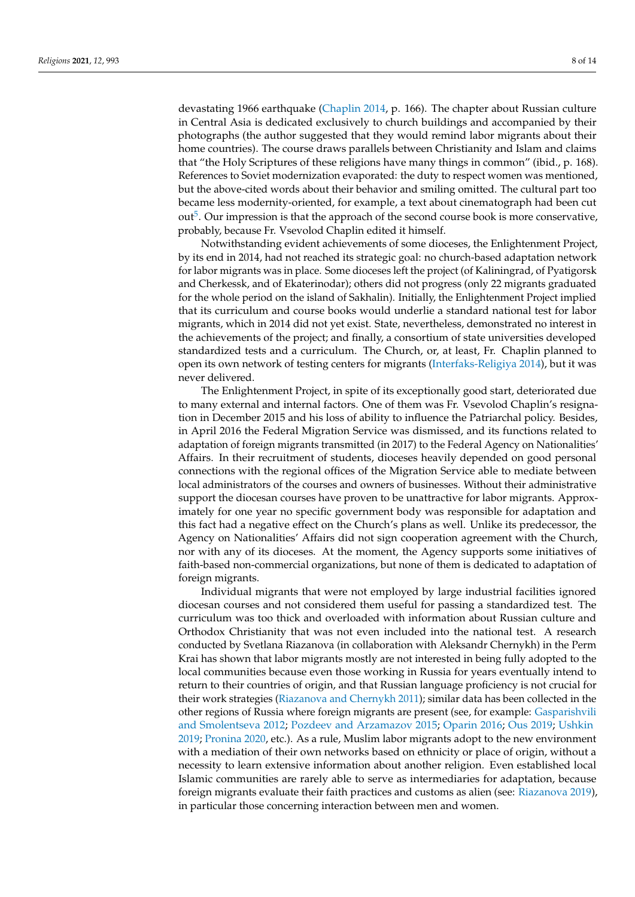devastating 1966 earthquake [\(Chaplin](#page-10-19) [2014,](#page-10-19) p. 166). The chapter about Russian culture in Central Asia is dedicated exclusively to church buildings and accompanied by their photographs (the author suggested that they would remind labor migrants about their home countries). The course draws parallels between Christianity and Islam and claims that "the Holy Scriptures of these religions have many things in common" (ibid., p. 168). References to Soviet modernization evaporated: the duty to respect women was mentioned, but the above-cited words about their behavior and smiling omitted. The cultural part too became less modernity-oriented, for example, a text about cinematograph had been cut out<sup>[5](#page-10-20)</sup>. Our impression is that the approach of the second course book is more conservative, probably, because Fr. Vsevolod Chaplin edited it himself.

<span id="page-7-0"></span>Notwithstanding evident achievements of some dioceses, the Enlightenment Project, by its end in 2014, had not reached its strategic goal: no church-based adaptation network for labor migrants was in place. Some dioceses left the project (of Kaliningrad, of Pyatigorsk and Cherkessk, and of Ekaterinodar); others did not progress (only 22 migrants graduated for the whole period on the island of Sakhalin). Initially, the Enlightenment Project implied that its curriculum and course books would underlie a standard national test for labor migrants, which in 2014 did not yet exist. State, nevertheless, demonstrated no interest in the achievements of the project; and finally, a consortium of state universities developed standardized tests and a curriculum. The Church, or, at least, Fr. Chaplin planned to open its own network of testing centers for migrants [\(Interfaks-Religiya](#page-11-22) [2014\)](#page-11-22), but it was never delivered.

The Enlightenment Project, in spite of its exceptionally good start, deteriorated due to many external and internal factors. One of them was Fr. Vsevolod Chaplin's resignation in December 2015 and his loss of ability to influence the Patriarchal policy. Besides, in April 2016 the Federal Migration Service was dismissed, and its functions related to adaptation of foreign migrants transmitted (in 2017) to the Federal Agency on Nationalities' Affairs. In their recruitment of students, dioceses heavily depended on good personal connections with the regional offices of the Migration Service able to mediate between local administrators of the courses and owners of businesses. Without their administrative support the diocesan courses have proven to be unattractive for labor migrants. Approximately for one year no specific government body was responsible for adaptation and this fact had a negative effect on the Church's plans as well. Unlike its predecessor, the Agency on Nationalities' Affairs did not sign cooperation agreement with the Church, nor with any of its dioceses. At the moment, the Agency supports some initiatives of faith-based non-commercial organizations, but none of them is dedicated to adaptation of foreign migrants.

Individual migrants that were not employed by large industrial facilities ignored diocesan courses and not considered them useful for passing a standardized test. The curriculum was too thick and overloaded with information about Russian culture and Orthodox Christianity that was not even included into the national test. A research conducted by Svetlana Riazanova (in collaboration with Aleksandr Chernykh) in the Perm Krai has shown that labor migrants mostly are not interested in being fully adopted to the local communities because even those working in Russia for years eventually intend to return to their countries of origin, and that Russian language proficiency is not crucial for their work strategies [\(Riazanova and Chernykh](#page-12-16) [2011\)](#page-12-16); similar data has been collected in the other regions of Russia where foreign migrants are present (see, for example: [Gasparishvili](#page-11-23) [and Smolentseva](#page-11-23) [2012;](#page-11-23) [Pozdeev and Arzamazov](#page-12-17) [2015;](#page-12-17) [Oparin](#page-12-18) [2016;](#page-12-18) [Ous](#page-12-19) [2019;](#page-12-19) [Ushkin](#page-13-20) [2019;](#page-13-20) [Pronina](#page-12-3) [2020,](#page-12-3) etc.). As a rule, Muslim labor migrants adopt to the new environment with a mediation of their own networks based on ethnicity or place of origin, without a necessity to learn extensive information about another religion. Even established local Islamic communities are rarely able to serve as intermediaries for adaptation, because foreign migrants evaluate their faith practices and customs as alien (see: [Riazanova](#page-12-20) [2019\)](#page-12-20), in particular those concerning interaction between men and women.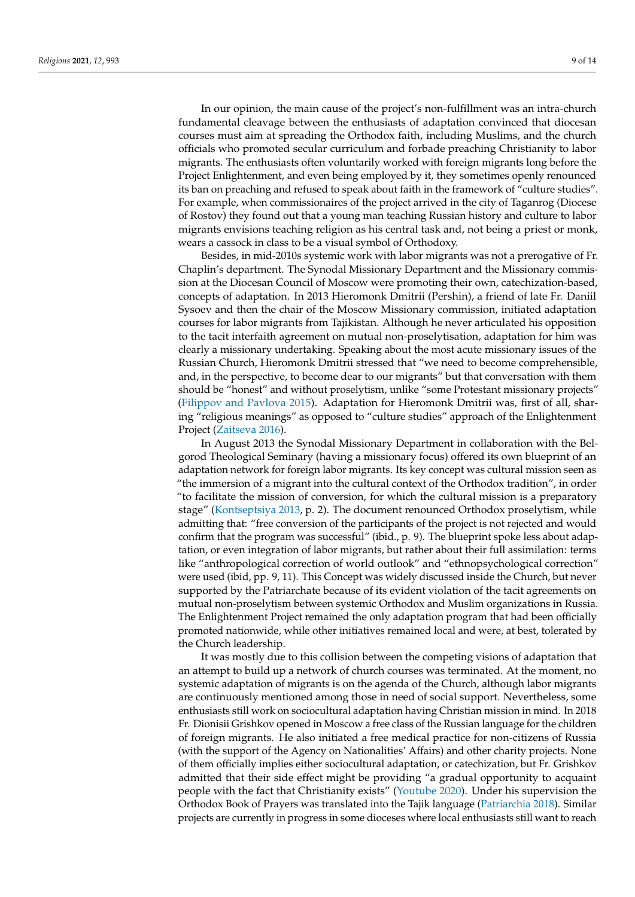In our opinion, the main cause of the project's non-fulfillment was an intra-church fundamental cleavage between the enthusiasts of adaptation convinced that diocesan courses must aim at spreading the Orthodox faith, including Muslims, and the church officials who promoted secular curriculum and forbade preaching Christianity to labor migrants. The enthusiasts often voluntarily worked with foreign migrants long before the Project Enlightenment, and even being employed by it, they sometimes openly renounced its ban on preaching and refused to speak about faith in the framework of "culture studies". For example, when commissionaires of the project arrived in the city of Taganrog (Diocese of Rostov) they found out that a young man teaching Russian history and culture to labor migrants envisions teaching religion as his central task and, not being a priest or monk, wears a cassock in class to be a visual symbol of Orthodoxy.

Besides, in mid-2010s systemic work with labor migrants was not a prerogative of Fr. Chaplin's department. The Synodal Missionary Department and the Missionary commission at the Diocesan Council of Moscow were promoting their own, catechization-based, concepts of adaptation. In 2013 Hieromonk Dmitrii (Pershin), a friend of late Fr. Daniil Sysoev and then the chair of the Moscow Missionary commission, initiated adaptation courses for labor migrants from Tajikistan. Although he never articulated his opposition to the tacit interfaith agreement on mutual non-proselytisation, adaptation for him was clearly a missionary undertaking. Speaking about the most acute missionary issues of the Russian Church, Hieromonk Dmitrii stressed that "we need to become comprehensible, and, in the perspective, to become dear to our migrants" but that conversation with them should be "honest" and without proselytism, unlike "some Protestant missionary projects" [\(Filippov and Pavlova](#page-11-24) [2015\)](#page-11-24). Adaptation for Hieromonk Dmitrii was, first of all, sharing "religious meanings" as opposed to "culture studies" approach of the Enlightenment Project [\(Zaitseva](#page-13-21) [2016\)](#page-13-21).

In August 2013 the Synodal Missionary Department in collaboration with the Belgorod Theological Seminary (having a missionary focus) offered its own blueprint of an adaptation network for foreign labor migrants. Its key concept was cultural mission seen as "the immersion of a migrant into the cultural context of the Orthodox tradition", in order "to facilitate the mission of conversion, for which the cultural mission is a preparatory stage" [\(Kontseptsiya](#page-11-25) [2013,](#page-11-25) p. 2). The document renounced Orthodox proselytism, while admitting that: "free conversion of the participants of the project is not rejected and would confirm that the program was successful" (ibid., p. 9). The blueprint spoke less about adaptation, or even integration of labor migrants, but rather about their full assimilation: terms like "anthropological correction of world outlook" and "ethnopsychological correction" were used (ibid, pp. 9, 11). This Concept was widely discussed inside the Church, but never supported by the Patriarchate because of its evident violation of the tacit agreements on mutual non-proselytism between systemic Orthodox and Muslim organizations in Russia. The Enlightenment Project remained the only adaptation program that had been officially promoted nationwide, while other initiatives remained local and were, at best, tolerated by the Church leadership.

It was mostly due to this collision between the competing visions of adaptation that an attempt to build up a network of church courses was terminated. At the moment, no systemic adaptation of migrants is on the agenda of the Church, although labor migrants are continuously mentioned among those in need of social support. Nevertheless, some enthusiasts still work on sociocultural adaptation having Christian mission in mind. In 2018 Fr. Dionisii Grishkov opened in Moscow a free class of the Russian language for the children of foreign migrants. He also initiated a free medical practice for non-citizens of Russia (with the support of the Agency on Nationalities' Affairs) and other charity projects. None of them officially implies either sociocultural adaptation, or catechization, but Fr. Grishkov admitted that their side effect might be providing "a gradual opportunity to acquaint people with the fact that Christianity exists" [\(Youtube](#page-13-22) [2020\)](#page-13-22). Under his supervision the Orthodox Book of Prayers was translated into the Tajik language [\(Patriarchia](#page-12-21) [2018\)](#page-12-21). Similar projects are currently in progress in some dioceses where local enthusiasts still want to reach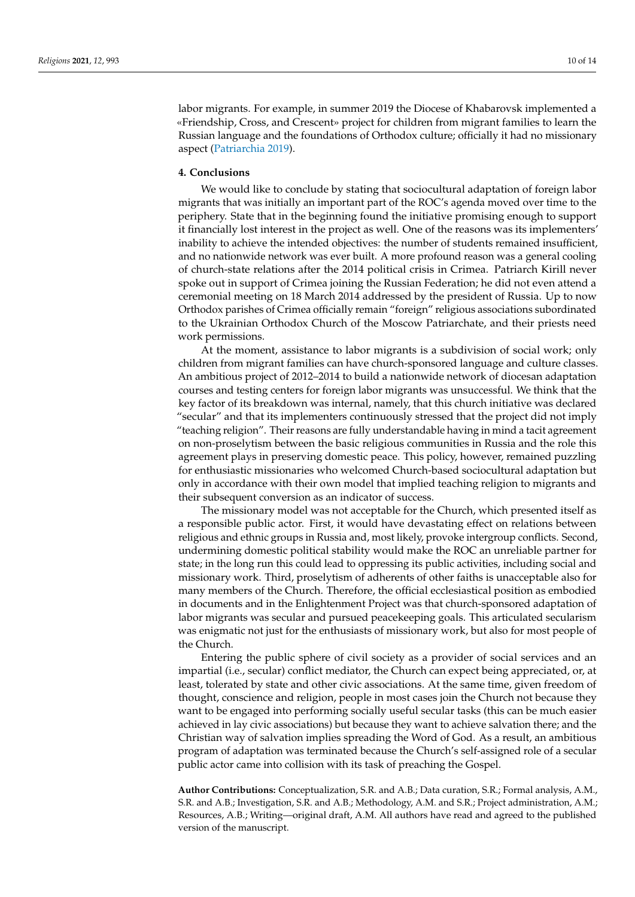labor migrants. For example, in summer 2019 the Diocese of Khabarovsk implemented a «Friendship, Cross, and Crescent» project for children from migrant families to learn the Russian language and the foundations of Orthodox culture; officially it had no missionary aspect [\(Patriarchia](#page-12-22) [2019\)](#page-12-22).

## **4. Conclusions**

We would like to conclude by stating that sociocultural adaptation of foreign labor migrants that was initially an important part of the ROC's agenda moved over time to the periphery. State that in the beginning found the initiative promising enough to support it financially lost interest in the project as well. One of the reasons was its implementers' inability to achieve the intended objectives: the number of students remained insufficient, and no nationwide network was ever built. A more profound reason was a general cooling of church-state relations after the 2014 political crisis in Crimea. Patriarch Kirill never spoke out in support of Crimea joining the Russian Federation; he did not even attend a ceremonial meeting on 18 March 2014 addressed by the president of Russia. Up to now Orthodox parishes of Crimea officially remain "foreign" religious associations subordinated to the Ukrainian Orthodox Church of the Moscow Patriarchate, and their priests need work permissions.

At the moment, assistance to labor migrants is a subdivision of social work; only children from migrant families can have church-sponsored language and culture classes. An ambitious project of 2012–2014 to build a nationwide network of diocesan adaptation courses and testing centers for foreign labor migrants was unsuccessful. We think that the key factor of its breakdown was internal, namely, that this church initiative was declared "secular" and that its implementers continuously stressed that the project did not imply "teaching religion". Their reasons are fully understandable having in mind a tacit agreement on non-proselytism between the basic religious communities in Russia and the role this agreement plays in preserving domestic peace. This policy, however, remained puzzling for enthusiastic missionaries who welcomed Church-based sociocultural adaptation but only in accordance with their own model that implied teaching religion to migrants and their subsequent conversion as an indicator of success.

The missionary model was not acceptable for the Church, which presented itself as a responsible public actor. First, it would have devastating effect on relations between religious and ethnic groups in Russia and, most likely, provoke intergroup conflicts. Second, undermining domestic political stability would make the ROC an unreliable partner for state; in the long run this could lead to oppressing its public activities, including social and missionary work. Third, proselytism of adherents of other faiths is unacceptable also for many members of the Church. Therefore, the official ecclesiastical position as embodied in documents and in the Enlightenment Project was that church-sponsored adaptation of labor migrants was secular and pursued peacekeeping goals. This articulated secularism was enigmatic not just for the enthusiasts of missionary work, but also for most people of the Church.

Entering the public sphere of civil society as a provider of social services and an impartial (i.e., secular) conflict mediator, the Church can expect being appreciated, or, at least, tolerated by state and other civic associations. At the same time, given freedom of thought, conscience and religion, people in most cases join the Church not because they want to be engaged into performing socially useful secular tasks (this can be much easier achieved in lay civic associations) but because they want to achieve salvation there; and the Christian way of salvation implies spreading the Word of God. As a result, an ambitious program of adaptation was terminated because the Church's self-assigned role of a secular public actor came into collision with its task of preaching the Gospel.

**Author Contributions:** Conceptualization, S.R. and A.B.; Data curation, S.R.; Formal analysis, A.M., S.R. and A.B.; Investigation, S.R. and A.B.; Methodology, A.M. and S.R.; Project administration, A.M.; Resources, A.B.; Writing—original draft, A.M. All authors have read and agreed to the published version of the manuscript.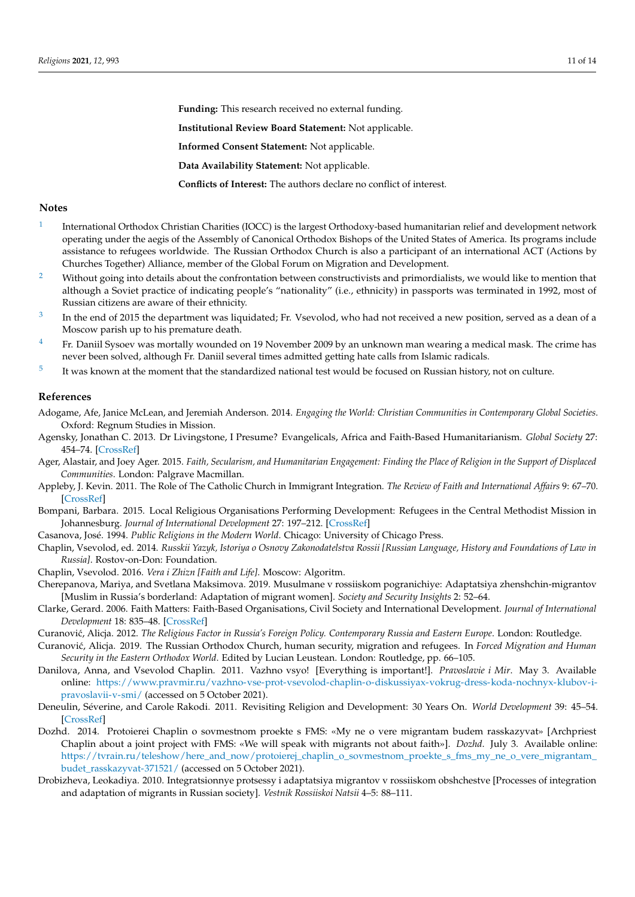**Funding:** This research received no external funding.

**Institutional Review Board Statement:** Not applicable.

**Informed Consent Statement:** Not applicable.

**Data Availability Statement:** Not applicable.

**Conflicts of Interest:** The authors declare no conflict of interest.

#### **Notes**

- <span id="page-10-8"></span>[1](#page-2-0) International Orthodox Christian Charities (IOCC) is the largest Orthodoxy-based humanitarian relief and development network operating under the aegis of the Assembly of Canonical Orthodox Bishops of the United States of America. Its programs include assistance to refugees worldwide. The Russian Orthodox Church is also a participant of an international ACT (Actions by Churches Together) Alliance, member of the Global Forum on Migration and Development.
- <span id="page-10-13"></span><sup>[2](#page-3-0)</sup> Without going into details about the confrontation between constructivists and primordialists, we would like to mention that although a Soviet practice of indicating people's "nationality" (i.e., ethnicity) in passports was terminated in 1992, most of Russian citizens are aware of their ethnicity.
- <span id="page-10-14"></span>[3](#page-3-1) In the end of 2015 the department was liquidated; Fr. Vsevolod, who had not received a new position, served as a dean of a Moscow parish up to his premature death.
- <span id="page-10-17"></span><sup>[4](#page-5-0)</sup> Fr. Daniil Sysoev was mortally wounded on 19 November 2009 by an unknown man wearing a medical mask. The crime has never been solved, although Fr. Daniil several times admitted getting hate calls from Islamic radicals.
- <span id="page-10-20"></span>[5](#page-7-0) It was known at the moment that the standardized national test would be focused on Russian history, not on culture.

### **References**

- <span id="page-10-7"></span>Adogame, Afe, Janice McLean, and Jeremiah Anderson. 2014. *Engaging the World: Christian Communities in Contemporary Global Societies*. Oxford: Regnum Studies in Mission.
- <span id="page-10-6"></span>Agensky, Jonathan C. 2013. Dr Livingstone, I Presume? Evangelicals, Africa and Faith-Based Humanitarianism. *Global Society* 27: 454–74. [\[CrossRef\]](http://doi.org/10.1080/13600826.2013.823916)
- <span id="page-10-10"></span>Ager, Alastair, and Joey Ager. 2015. *Faith, Secularism, and Humanitarian Engagement: Finding the Place of Religion in the Support of Displaced Communities*. London: Palgrave Macmillan.
- <span id="page-10-9"></span>Appleby, J. Kevin. 2011. The Role of The Catholic Church in Immigrant Integration. *The Review of Faith and International Affairs* 9: 67–70. [\[CrossRef\]](http://doi.org/10.1080/15570274.2011.543621)
- <span id="page-10-11"></span>Bompani, Barbara. 2015. Local Religious Organisations Performing Development: Refugees in the Central Methodist Mission in Johannesburg. *Journal of International Development* 27: 197–212. [\[CrossRef\]](http://doi.org/10.1002/jid.2900)
- <span id="page-10-3"></span>Casanova, José. 1994. *Public Religions in the Modern World*. Chicago: University of Chicago Press.
- <span id="page-10-19"></span>Chaplin, Vsevolod, ed. 2014. *Russkii Yazyk, Istoriya o Osnovy Zakonodatelstva Rossii [Russian Language, History and Foundations of Law in Russia]*. Rostov-on-Don: Foundation.
- <span id="page-10-15"></span>Chaplin, Vsevolod. 2016. *Vera i Zhizn [Faith and Life]*. Moscow: Algoritm.
- <span id="page-10-2"></span>Cherepanova, Mariya, and Svetlana Maksimova. 2019. Musulmane v rossiiskom pogranichiye: Adaptatsiya zhenshchin-migrantov [Muslim in Russia's borderland: Adaptation of migrant women]. *Society and Security Insights* 2: 52–64.
- <span id="page-10-4"></span>Clarke, Gerard. 2006. Faith Matters: Faith-Based Organisations, Civil Society and International Development. *Journal of International Development* 18: 835–48. [\[CrossRef\]](http://doi.org/10.1002/jid.1317)
- <span id="page-10-12"></span>Curanović, Alicja. 2012. *The Religious Factor in Russia's Foreign Policy. Contemporary Russia and Eastern Europe*. London: Routledge.
- <span id="page-10-1"></span>Curanovi´c, Alicja. 2019. The Russian Orthodox Church, human security, migration and refugees. In *Forced Migration and Human Security in the Eastern Orthodox World*. Edited by Lucian Leustean. London: Routledge, pp. 66–105.
- <span id="page-10-16"></span>Danilova, Anna, and Vsevolod Chaplin. 2011. Vazhno vsyo! [Everything is important!]. *Pravoslavie i Mir*. May 3. Available online: [https://www.pravmir.ru/vazhno-vse-prot-vsevolod-chaplin-o-diskussiyax-vokrug-dress-koda-nochnyx-klubov-i](https://www.pravmir.ru/vazhno-vse-prot-vsevolod-chaplin-o-diskussiyax-vokrug-dress-koda-nochnyx-klubov-i-pravoslavii-v-smi/)[pravoslavii-v-smi/](https://www.pravmir.ru/vazhno-vse-prot-vsevolod-chaplin-o-diskussiyax-vokrug-dress-koda-nochnyx-klubov-i-pravoslavii-v-smi/) (accessed on 5 October 2021).
- <span id="page-10-5"></span>Deneulin, Séverine, and Carole Rakodi. 2011. Revisiting Religion and Development: 30 Years On. *World Development* 39: 45–54. [\[CrossRef\]](http://doi.org/10.1016/j.worlddev.2010.05.007)
- <span id="page-10-18"></span>Dozhd. 2014. Protoierei Chaplin o sovmestnom proekte s FMS: «My ne o vere migrantam budem rasskazyvat» [Archpriest Chaplin about a joint project with FMS: «We will speak with migrants not about faith»]. *Dozhd*. July 3. Available online: [https://tvrain.ru/teleshow/here\\_and\\_now/protoierej\\_chaplin\\_o\\_sovmestnom\\_proekte\\_s\\_fms\\_my\\_ne\\_o\\_vere\\_migrantam\\_](https://tvrain.ru/teleshow/here_and_now/protoierej_chaplin_o_sovmestnom_proekte_s_fms_my_ne_o_vere_migrantam_budet_rasskazyvat-371521/) [budet\\_rasskazyvat-371521/](https://tvrain.ru/teleshow/here_and_now/protoierej_chaplin_o_sovmestnom_proekte_s_fms_my_ne_o_vere_migrantam_budet_rasskazyvat-371521/) (accessed on 5 October 2021).
- <span id="page-10-0"></span>Drobizheva, Leokadiya. 2010. Integratsionnye protsessy i adaptatsiya migrantov v rossiiskom obshchestve [Processes of integration and adaptation of migrants in Russian society]. *Vestnik Rossiiskoi Natsii* 4–5: 88–111.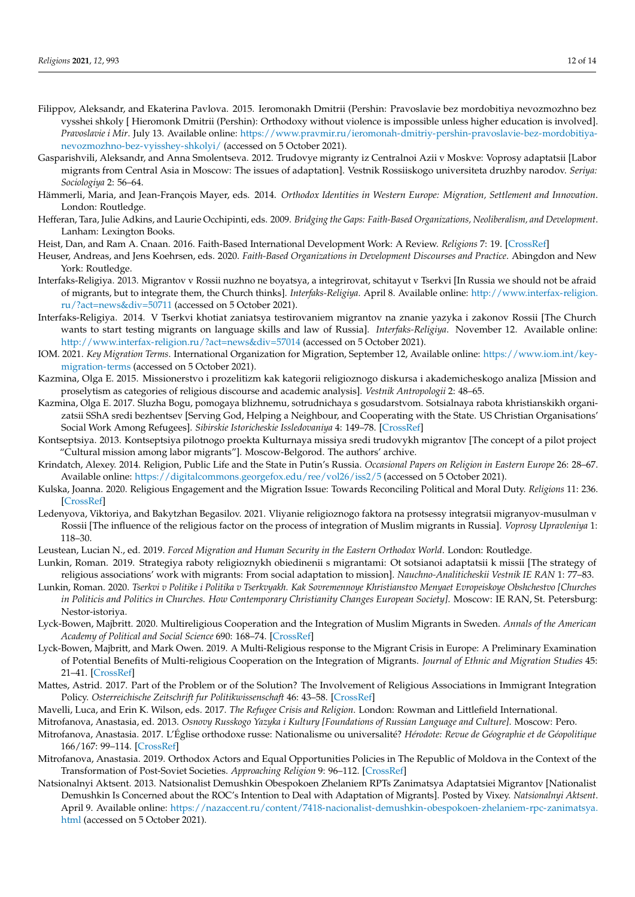- <span id="page-11-24"></span>Filippov, Aleksandr, and Ekaterina Pavlova. 2015. Ieromonakh Dmitrii (Pershin: Pravoslavie bez mordobitiya nevozmozhno bez vysshei shkoly [ Hieromonk Dmitrii (Pershin): Orthodoxy without violence is impossible unless higher education is involved]. *Pravoslavie i Mir*. July 13. Available online: [https://www.pravmir.ru/ieromonah-dmitriy-pershin-pravoslavie-bez-mordobitiya](https://www.pravmir.ru/ieromonah-dmitriy-pershin-pravoslavie-bez-mordobitiya-nevozmozhno-bez-vyisshey-shkolyi/)[nevozmozhno-bez-vyisshey-shkolyi/](https://www.pravmir.ru/ieromonah-dmitriy-pershin-pravoslavie-bez-mordobitiya-nevozmozhno-bez-vyisshey-shkolyi/) (accessed on 5 October 2021).
- <span id="page-11-23"></span>Gasparishvili, Aleksandr, and Anna Smolentseva. 2012. Trudovye migranty iz Centralnoi Azii v Moskve: Voprosy adaptatsii [Labor migrants from Central Asia in Moscow: The issues of adaptation]. Vestnik Rossiiskogo universiteta druzhby narodov. *Seriya: Sociologiya* 2: 56–64.
- <span id="page-11-3"></span>Hämmerli, Maria, and Jean-François Mayer, eds. 2014. *Orthodox Identities in Western Europe: Migration, Settlement and Innovation*. London: Routledge.
- <span id="page-11-6"></span>Hefferan, Tara, Julie Adkins, and Laurie Occhipinti, eds. 2009. *Bridging the Gaps: Faith-Based Organizations, Neoliberalism, and Development*. Lanham: Lexington Books.
- <span id="page-11-7"></span>Heist, Dan, and Ram A. Cnaan. 2016. Faith-Based International Development Work: A Review. *Religions* 7: 19. [\[CrossRef\]](http://doi.org/10.3390/rel7030019)
- <span id="page-11-8"></span>Heuser, Andreas, and Jens Koehrsen, eds. 2020. *Faith-Based Organizations in Development Discourses and Practice*. Abingdon and New York: Routledge.
- <span id="page-11-18"></span>Interfaks-Religiya. 2013. Migrantov v Rossii nuzhno ne boyatsya, a integrirovat, schitayut v Tserkvi [In Russia we should not be afraid of migrants, but to integrate them, the Church thinks]. *Interfaks-Religiya*. April 8. Available online: [http://www.interfax-religion.](http://www.interfax-religion.ru/?act=news&div=50711) [ru/?act=news&div=50711](http://www.interfax-religion.ru/?act=news&div=50711) (accessed on 5 October 2021).
- <span id="page-11-22"></span>Interfaks-Religiya. 2014. V Tserkvi khotiat zaniatsya testirovaniem migrantov na znanie yazyka i zakonov Rossii [The Church wants to start testing migrants on language skills and law of Russia]. *Interfaks-Religiya*. November 12. Available online: <http://www.interfax-religion.ru/?act=news&div=57014> (accessed on 5 October 2021).
- <span id="page-11-0"></span>IOM. 2021. *Key Migration Terms*. International Organization for Migration, September 12, Available online: [https://www.iom.int/key](https://www.iom.int/key-migration-terms)[migration-terms](https://www.iom.int/key-migration-terms) (accessed on 5 October 2021).
- <span id="page-11-17"></span>Kazmina, Olga E. 2015. Missionerstvo i prozelitizm kak kategorii religioznogo diskursa i akademicheskogo analiza [Mission and proselytism as categories of religious discourse and academic analysis]. *Vestnik Antropologii* 2: 48–65.
- <span id="page-11-9"></span>Kazmina, Olga E. 2017. Sluzha Bogu, pomogaya blizhnemu, sotrudnichaya s gosudarstvom. Sotsialnaya rabota khristianskikh organizatsii SShA sredi bezhentsev [Serving God, Helping a Neighbour, and Cooperating with the State. US Christian Organisations' Social Work Among Refugees]. *Sibirskie Istoricheskie Issledovaniya* 4: 149–78. [\[CrossRef\]](http://doi.org/10.17223/2312461X/18/10)
- <span id="page-11-25"></span>Kontseptsiya. 2013. Kontseptsiya pilotnogo proekta Kulturnaya missiya sredi trudovykh migrantov [The concept of a pilot project "Cultural mission among labor migrants"]. Moscow-Belgorod. The authors' archive.
- <span id="page-11-16"></span>Krindatch, Alexey. 2014. Religion, Public Life and the State in Putin's Russia. *Occasional Papers on Religion in Eastern Europe* 26: 28–67. Available online: <https://digitalcommons.georgefox.edu/ree/vol26/iss2/5> (accessed on 5 October 2021).
- <span id="page-11-13"></span>Kulska, Joanna. 2020. Religious Engagement and the Migration Issue: Towards Reconciling Political and Moral Duty. *Religions* 11: 236. [\[CrossRef\]](http://doi.org/10.3390/rel11050236)
- <span id="page-11-2"></span>Ledenyova, Viktoriya, and Bakytzhan Begasilov. 2021. Vliyanie religioznogo faktora na protsessy integratsii migranyov-musulman v Rossii [The influence of the religious factor on the process of integration of Muslim migrants in Russia]. *Voprosy Upravleniya* 1: 118–30.
- <span id="page-11-4"></span>Leustean, Lucian N., ed. 2019. *Forced Migration and Human Security in the Eastern Orthodox World*. London: Routledge.
- <span id="page-11-1"></span>Lunkin, Roman. 2019. Strategiya raboty religioznykh obiedinenii s migrantami: Ot sotsianoi adaptatsii k missii [The strategy of religious associations' work with migrants: From social adaptation to mission]. *Nauchno-Analiticheskii Vestnik IE RAN* 1: 77–83.
- <span id="page-11-14"></span>Lunkin, Roman. 2020. *Tserkvi v Politike i Politika v Tserkvyakh. Kak Sovremennoye Khristianstvo Menyaet Evropeiskoye Obshchestvo [Churches in Politicis and Politics in Churches. How Contemporary Christianity Changes European Society]*. Moscow: IE RAN, St. Petersburg: Nestor-istoriya.
- <span id="page-11-15"></span>Lyck-Bowen, Majbritt. 2020. Multireligious Cooperation and the Integration of Muslim Migrants in Sweden. *Annals of the American Academy of Political and Social Science* 690: 168–74. [\[CrossRef\]](http://doi.org/10.1177/0002716220939919)
- <span id="page-11-12"></span>Lyck-Bowen, Majbritt, and Mark Owen. 2019. A Multi-Religious response to the Migrant Crisis in Europe: A Preliminary Examination of Potential Benefits of Multi-religious Cooperation on the Integration of Migrants. *Journal of Ethnic and Migration Studies* 45: 21–41. [\[CrossRef\]](http://doi.org/10.1080/1369183X.2018.1437344)
- <span id="page-11-10"></span>Mattes, Astrid. 2017. Part of the Problem or of the Solution? The Involvement of Religious Associations in Immigrant Integration Policy. *Osterreichische Zeitschrift fur Politikwissenschaft* 46: 43–58. [\[CrossRef\]](http://doi.org/10.15203/ozp.1589.vol46iss1)
- <span id="page-11-21"></span><span id="page-11-11"></span>Mavelli, Luca, and Erin K. Wilson, eds. 2017. *The Refugee Crisis and Religion*. London: Rowman and Littlefield International.
- Mitrofanova, Anastasia, ed. 2013. *Osnovy Russkogo Yazyka i Kultury [Foundations of Russian Language and Culture]*. Moscow: Pero.
- <span id="page-11-20"></span>Mitrofanova, Anastasia. 2017. L'Église orthodoxe russe: Nationalisme ou universalité? *Hérodote: Revue de Géographie et de Géopolitique* 166/167: 99–114. [\[CrossRef\]](http://doi.org/10.3917/her.166.0097)
- <span id="page-11-5"></span>Mitrofanova, Anastasia. 2019. Orthodox Actors and Equal Opportunities Policies in The Republic of Moldova in the Context of the Transformation of Post-Soviet Societies. *Approaching Religion* 9: 96–112. [\[CrossRef\]](http://doi.org/10.30664/ar.82787)
- <span id="page-11-19"></span>Natsionalnyi Aktsent. 2013. Natsionalist Demushkin Obespokoen Zhelaniem RPTs Zanimatsya Adaptatsiei Migrantov [Nationalist Demushkin Is Concerned about the ROC's Intention to Deal with Adaptation of Migrants]. Posted by Vixey. *Natsionalnyi Aktsent*. April 9. Available online: [https://nazaccent.ru/content/7418-nacionalist-demushkin-obespokoen-zhelaniem-rpc-zanimatsya.](https://nazaccent.ru/content/7418-nacionalist-demushkin-obespokoen-zhelaniem-rpc-zanimatsya.html) [html](https://nazaccent.ru/content/7418-nacionalist-demushkin-obespokoen-zhelaniem-rpc-zanimatsya.html) (accessed on 5 October 2021).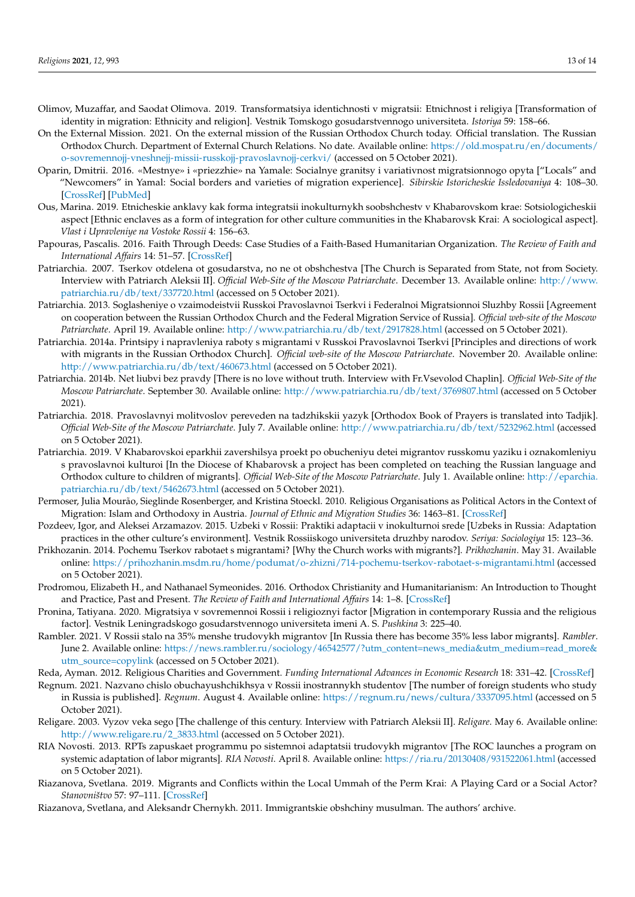- <span id="page-12-2"></span>Olimov, Muzaffar, and Saodat Olimova. 2019. Transformatsiya identichnosti v migratsii: Etnichnost i religiya [Transformation of identity in migration: Ethnicity and religion]. Vestnik Tomskogo gosudarstvennogo universiteta. *Istoriya* 59: 158–66.
- <span id="page-12-9"></span>On the External Mission. 2021. On the external mission of the Russian Orthodox Church today. Official translation. The Russian Orthodox Church. Department of External Church Relations. No date. Available online: [https://old.mospat.ru/en/documents/](https://old.mospat.ru/en/documents/o-sovremennojj-vneshnejj-missii-russkojj-pravoslavnojj-cerkvi/) [o-sovremennojj-vneshnejj-missii-russkojj-pravoslavnojj-cerkvi/](https://old.mospat.ru/en/documents/o-sovremennojj-vneshnejj-missii-russkojj-pravoslavnojj-cerkvi/) (accessed on 5 October 2021).
- <span id="page-12-18"></span>Oparin, Dmitrii. 2016. «Mestnye» i «priezzhie» na Yamale: Socialnye granitsy i variativnost migratsionnogo opyta ["Locals" and "Newcomers" in Yamal: Social borders and varieties of migration experience]. *Sibirskie Istoricheskie Issledovaniya* 4: 108–30. [\[CrossRef\]](http://doi.org/10.17223/2312461X/14/6) [\[PubMed\]](http://www.ncbi.nlm.nih.gov/pubmed/33638326)
- <span id="page-12-19"></span>Ous, Marina. 2019. Etnicheskie anklavy kak forma integratsii inokulturnykh soobshchestv v Khabarovskom krae: Sotsiologicheskii aspect [Ethnic enclaves as a form of integration for other culture communities in the Khabarovsk Krai: A sociological aspect]. *Vlast i Upravleniye na Vostoke Rossii* 4: 156–63.
- <span id="page-12-4"></span>Papouras, Pascalis. 2016. Faith Through Deeds: Case Studies of a Faith-Based Humanitarian Organization. *The Review of Faith and International Affairs* 14: 51–57. [\[CrossRef\]](http://doi.org/10.1080/15570274.2016.1145477)
- <span id="page-12-8"></span>Patriarchia. 2007. Tserkov otdelena ot gosudarstva, no ne ot obshchestva [The Church is Separated from State, not from Society. Interview with Patriarch Aleksii II]. *Official Web-Site of the Moscow Patriarchate*. December 13. Available online: [http://www.](http://www.patriarchia.ru/db/text/337720.html) [patriarchia.ru/db/text/337720.html](http://www.patriarchia.ru/db/text/337720.html) (accessed on 5 October 2021).
- <span id="page-12-11"></span>Patriarchia. 2013. Soglasheniye o vzaimodeistvii Russkoi Pravoslavnoi Tserkvi i Federalnoi Migratsionnoi Sluzhby Rossii [Agreement on cooperation between the Russian Orthodox Church and the Federal Migration Service of Russia]. *Official web-site of the Moscow Patriarchate*. April 19. Available online: <http://www.patriarchia.ru/db/text/2917828.html> (accessed on 5 October 2021).
- <span id="page-12-12"></span>Patriarchia. 2014a. Printsipy i napravleniya raboty s migrantami v Russkoi Pravoslavnoi Tserkvi [Principles and directions of work with migrants in the Russian Orthodox Church]. *Official web-site of the Moscow Patriarchate*. November 20. Available online: <http://www.patriarchia.ru/db/text/460673.html> (accessed on 5 October 2021).
- <span id="page-12-14"></span>Patriarchia. 2014b. Net liubvi bez pravdy [There is no love without truth. Interview with Fr.Vsevolod Chaplin]. *Official Web-Site of the Moscow Patriarchate*. September 30. Available online: <http://www.patriarchia.ru/db/text/3769807.html> (accessed on 5 October 2021).
- <span id="page-12-21"></span>Patriarchia. 2018. Pravoslavnyi molitvoslov pereveden na tadzhikskii yazyk [Orthodox Book of Prayers is translated into Tadjik]. *Official Web-Site of the Moscow Patriarchate*. July 7. Available online: <http://www.patriarchia.ru/db/text/5232962.html> (accessed on 5 October 2021).
- <span id="page-12-22"></span>Patriarchia. 2019. V Khabarovskoi eparkhii zavershilsya proekt po obucheniyu detei migrantov russkomu yaziku i oznakomleniyu s pravoslavnoi kulturoi [In the Diocese of Khabarovsk a project has been completed on teaching the Russian language and Orthodox culture to children of migrants]. *Official Web-Site of the Moscow Patriarchate*. July 1. Available online: [http://eparchia.](http://eparchia.patriarchia.ru/db/text/5462673.html) [patriarchia.ru/db/text/5462673.html](http://eparchia.patriarchia.ru/db/text/5462673.html) (accessed on 5 October 2021).
- <span id="page-12-6"></span>Permoser, Julia Mourão, Sieglinde Rosenberger, and Kristina Stoeckl. 2010. Religious Organisations as Political Actors in the Context of Migration: Islam and Orthodoxy in Austria. *Journal of Ethnic and Migration Studies* 36: 1463–81. [\[CrossRef\]](http://doi.org/10.1080/1369183X.2010.500819)
- <span id="page-12-17"></span>Pozdeev, Igor, and Aleksei Arzamazov. 2015. Uzbeki v Rossii: Praktiki adaptacii v inokulturnoi srede [Uzbeks in Russia: Adaptation practices in the other culture's environment]. Vestnik Rossiiskogo universiteta druzhby narodov. *Seriya: Sociologiya* 15: 123–36.
- <span id="page-12-13"></span>Prikhozanin. 2014. Pochemu Tserkov rabotaet s migrantami? [Why the Church works with migrants?]. *Prikhozhanin*. May 31. Available online: <https://prihozhanin.msdm.ru/home/podumat/o-zhizni/714-pochemu-tserkov-rabotaet-s-migrantami.html> (accessed on 5 October 2021).
- <span id="page-12-5"></span>Prodromou, Elizabeth H., and Nathanael Symeonides. 2016. Orthodox Christianity and Humanitarianism: An Introduction to Thought and Practice, Past and Present. *The Review of Faith and International Affairs* 14: 1–8. [\[CrossRef\]](http://doi.org/10.1080/15570274.2016.1145479)
- <span id="page-12-3"></span>Pronina, Tatiyana. 2020. Migratsiya v sovremennoi Rossii i religioznyi factor [Migration in contemporary Russia and the religious factor]. Vestnik Leningradskogo gosudarstvennogo universiteta imeni A. S. *Pushkina* 3: 225–40.
- <span id="page-12-1"></span>Rambler. 2021. V Rossii stalo na 35% menshe trudovykh migrantov [In Russia there has become 35% less labor migrants]. *Rambler*. June 2. Available online: [https://news.rambler.ru/sociology/46542577/?utm\\_content=news\\_media&utm\\_medium=read\\_more&](https://news.rambler.ru/sociology/46542577/?utm_content=news_media&utm_medium=read_more&utm_source=copylink) [utm\\_source=copylink](https://news.rambler.ru/sociology/46542577/?utm_content=news_media&utm_medium=read_more&utm_source=copylink) (accessed on 5 October 2021).
- <span id="page-12-7"></span>Reda, Ayman. 2012. Religious Charities and Government. *Funding International Advances in Economic Research* 18: 331–42. [\[CrossRef\]](http://doi.org/10.1007/s11294-012-9358-z)
- <span id="page-12-0"></span>Regnum. 2021. Nazvano chislo obuchayushchikhsya v Rossii inostrannykh studentov [The number of foreign students who study in Russia is published]. *Regnum*. August 4. Available online: <https://regnum.ru/news/cultura/3337095.html> (accessed on 5 October 2021).
- <span id="page-12-10"></span>Religare. 2003. Vyzov veka sego [The challenge of this century. Interview with Patriarch Aleksii II]. *Religare*. May 6. Available online: [http://www.religare.ru/2\\_3833.html](http://www.religare.ru/2_3833.html) (accessed on 5 October 2021).
- <span id="page-12-15"></span>RIA Novosti. 2013. RPTs zapuskaet programmu po sistemnoi adaptatsii trudovykh migrantov [The ROC launches a program on systemic adaptation of labor migrants]. *RIA Novosti*. April 8. Available online: <https://ria.ru/20130408/931522061.html> (accessed on 5 October 2021).
- <span id="page-12-20"></span>Riazanova, Svetlana. 2019. Migrants and Conflicts within the Local Ummah of the Perm Krai: A Playing Card or a Social Actor? *Stanovništvo* 57: 97–111. [\[CrossRef\]](http://doi.org/10.2298/STNV1901097R)
- <span id="page-12-16"></span>Riazanova, Svetlana, and Aleksandr Chernykh. 2011. Immigrantskie obshchiny musulman. The authors' archive.